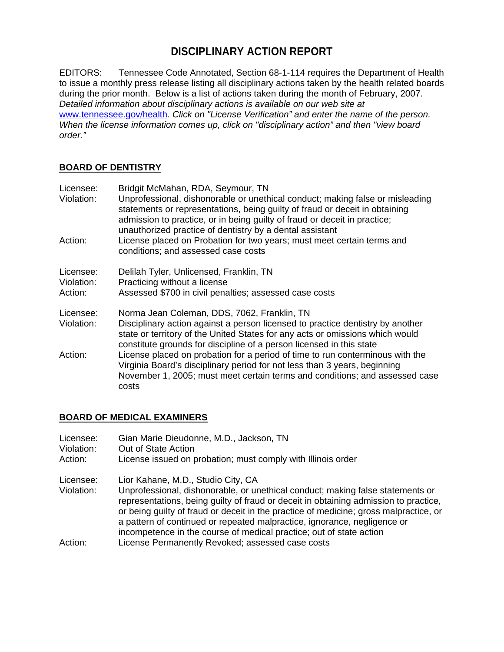# **DISCIPLINARY ACTION REPORT**

EDITORS: Tennessee Code Annotated, Section 68-1-114 requires the Department of Health to issue a monthly press release listing all disciplinary actions taken by the health related boards during the prior month. Below is a list of actions taken during the month of February, 2007. *Detailed information about disciplinary actions is available on our web site at*  www.tennessee.gov/health*. Click on "License Verification" and enter the name of the person. When the license information comes up, click on "disciplinary action" and then "view board order."* 

## **BOARD OF DENTISTRY**

| Licensee:<br>Violation:            | Bridgit McMahan, RDA, Seymour, TN<br>Unprofessional, dishonorable or unethical conduct; making false or misleading<br>statements or representations, being guilty of fraud or deceit in obtaining<br>admission to practice, or in being guilty of fraud or deceit in practice;<br>unauthorized practice of dentistry by a dental assistant |
|------------------------------------|--------------------------------------------------------------------------------------------------------------------------------------------------------------------------------------------------------------------------------------------------------------------------------------------------------------------------------------------|
| Action:                            | License placed on Probation for two years; must meet certain terms and<br>conditions; and assessed case costs                                                                                                                                                                                                                              |
| Licensee:<br>Violation:<br>Action: | Delilah Tyler, Unlicensed, Franklin, TN<br>Practicing without a license<br>Assessed \$700 in civil penalties; assessed case costs                                                                                                                                                                                                          |
| Licensee:<br>Violation:            | Norma Jean Coleman, DDS, 7062, Franklin, TN<br>Disciplinary action against a person licensed to practice dentistry by another<br>state or territory of the United States for any acts or omissions which would<br>constitute grounds for discipline of a person licensed in this state                                                     |
| Action:                            | License placed on probation for a period of time to run conterminous with the<br>Virginia Board's disciplinary period for not less than 3 years, beginning<br>November 1, 2005; must meet certain terms and conditions; and assessed case<br>costs                                                                                         |

## **BOARD OF MEDICAL EXAMINERS**

| Licensee:<br>Violation:<br>Action: | Gian Marie Dieudonne, M.D., Jackson, TN<br>Out of State Action<br>License issued on probation; must comply with Illinois order                                                                                                                                                                                                                                                    |
|------------------------------------|-----------------------------------------------------------------------------------------------------------------------------------------------------------------------------------------------------------------------------------------------------------------------------------------------------------------------------------------------------------------------------------|
| Licensee:<br>Violation:            | Lior Kahane, M.D., Studio City, CA<br>Unprofessional, dishonorable, or unethical conduct; making false statements or<br>representations, being guilty of fraud or deceit in obtaining admission to practice,<br>or being guilty of fraud or deceit in the practice of medicine; gross malpractice, or<br>a pattern of continued or repeated malpractice, ignorance, negligence or |
| Action:                            | incompetence in the course of medical practice; out of state action<br>License Permanently Revoked; assessed case costs                                                                                                                                                                                                                                                           |